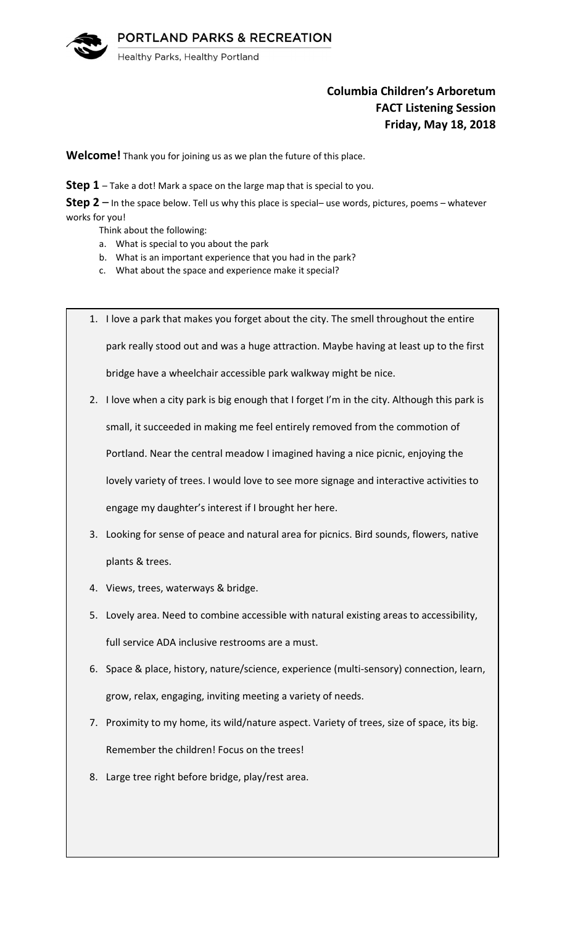

# **Columbia Children's Arboretum FACT Listening Session Friday, May 18, 2018**

**Welcome!** Thank you for joining us as we plan the future of this place.

**Step 1** – Take a dot! Mark a space on the large map that is special to you.

**Step 2** – In the space below. Tell us why this place is special– use words, pictures, poems – whatever works for you!

Think about the following:

- a. What is special to you about the park
- b. What is an important experience that you had in the park?
- c. What about the space and experience make it special?
- 1. I love a park that makes you forget about the city. The smell throughout the entire park really stood out and was a huge attraction. Maybe having at least up to the first bridge have a wheelchair accessible park walkway might be nice.
- 2. I love when a city park is big enough that I forget I'm in the city. Although this park is

small, it succeeded in making me feel entirely removed from the commotion of

Portland. Near the central meadow I imagined having a nice picnic, enjoying the

lovely variety of trees. I would love to see more signage and interactive activities to

engage my daughter's interest if I brought her here.

- 3. Looking for sense of peace and natural area for picnics. Bird sounds, flowers, native plants & trees.
- 4. Views, trees, waterways & bridge.
- 5. Lovely area. Need to combine accessible with natural existing areas to accessibility, full service ADA inclusive restrooms are a must.
- 6. Space & place, history, nature/science, experience (multi-sensory) connection, learn, grow, relax, engaging, inviting meeting a variety of needs.
- 7. Proximity to my home, its wild/nature aspect. Variety of trees, size of space, its big. Remember the children! Focus on the trees!
- 8. Large tree right before bridge, play/rest area.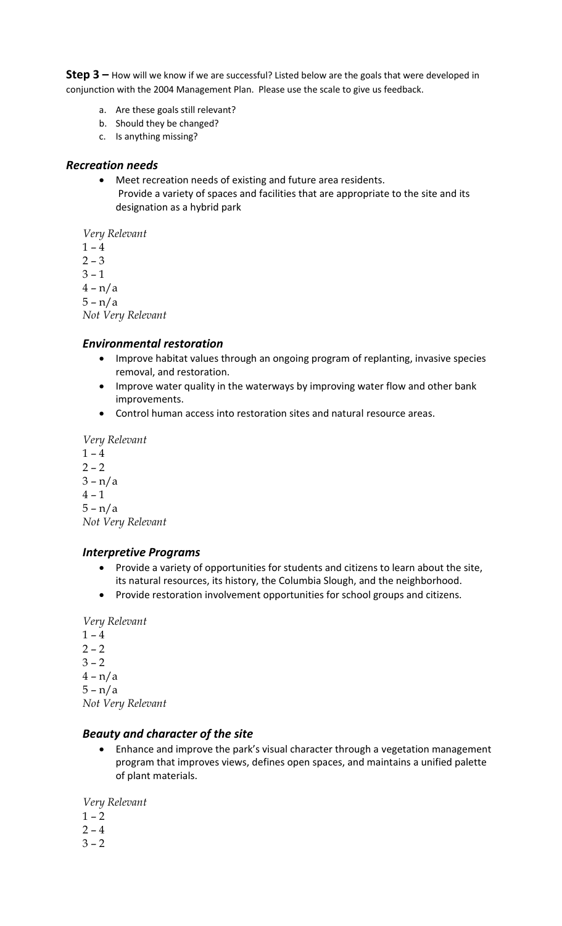**Step 3 –** How will we know if we are successful? Listed below are the goals that were developed in conjunction with the 2004 Management Plan. Please use the scale to give us feedback.

- a. Are these goals still relevant?
- b. Should they be changed?
- c. Is anything missing?

#### *Recreation needs*

• Meet recreation needs of existing and future area residents. Provide a variety of spaces and facilities that are appropriate to the site and its designation as a hybrid park

*Very Relevant*

- $1 4$
- $2 3$
- $3 1$
- $4 n/a$
- $5 n/a$

*Not Very Relevant*

#### *Environmental restoration*

- Improve habitat values through an ongoing program of replanting, invasive species removal, and restoration.
- Improve water quality in the waterways by improving water flow and other bank improvements.
- Control human access into restoration sites and natural resource areas.

*Very Relevant*

 $1 - 4$  $2 - 2$ 

 $3 - n/a$ 

 $4 - 1$ 

5 – n/a

*Not Very Relevant*

#### *Interpretive Programs*

- Provide a variety of opportunities for students and citizens to learn about the site, its natural resources, its history, the Columbia Slough, and the neighborhood.
- Provide restoration involvement opportunities for school groups and citizens.

*Very Relevant*

- $1 4$
- $2 2$
- $3 2$
- $4 n/a$

 $5 - n/a$ 

*Not Very Relevant*

#### *Beauty and character of the site*

• Enhance and improve the park's visual character through a vegetation management program that improves views, defines open spaces, and maintains a unified palette of plant materials.

*Very Relevant*

- $1 2$
- $2 4$
- $3 2$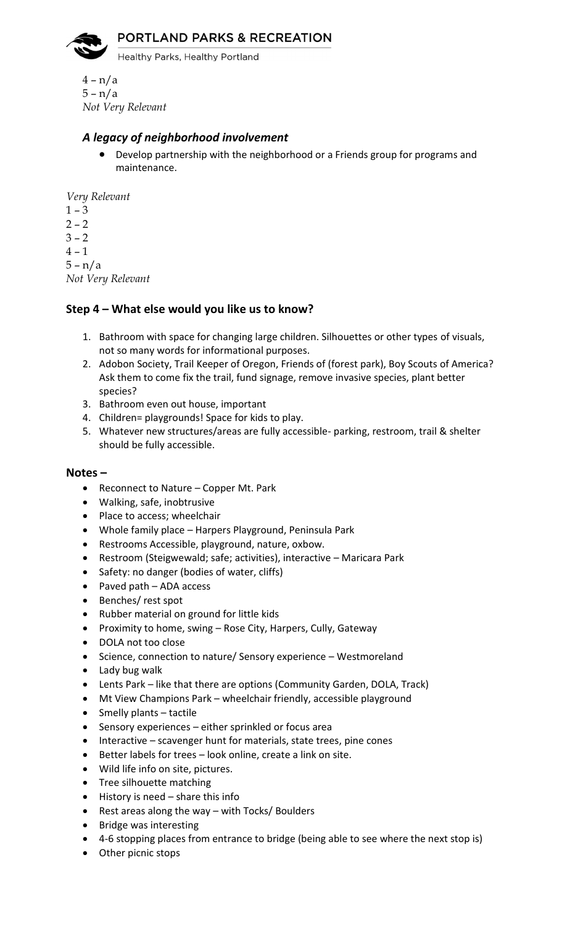

Healthy Parks, Healthy Portland

4 – n/a 5 – n/a *Not Very Relevant*

### *A legacy of neighborhood involvement*

• Develop partnership with the neighborhood or a Friends group for programs and maintenance.

*Very Relevant*

 $1 - 3$  $2 - 2$  $3 - 2$  $4 - 1$ 5 – n/a *Not Very Relevant*

## **Step 4 – What else would you like us to know?**

- 1. Bathroom with space for changing large children. Silhouettes or other types of visuals, not so many words for informational purposes.
- 2. Adobon Society, Trail Keeper of Oregon, Friends of (forest park), Boy Scouts of America? Ask them to come fix the trail, fund signage, remove invasive species, plant better species?
- 3. Bathroom even out house, important
- 4. Children= playgrounds! Space for kids to play.
- 5. Whatever new structures/areas are fully accessible- parking, restroom, trail & shelter should be fully accessible.

#### **Notes –**

- Reconnect to Nature Copper Mt. Park
- Walking, safe, inobtrusive
- Place to access; wheelchair
- Whole family place Harpers Playground, Peninsula Park
- Restrooms Accessible, playground, nature, oxbow.
- Restroom (Steigwewald; safe; activities), interactive Maricara Park
- Safety: no danger (bodies of water, cliffs)
- Paved path ADA access
- Benches/ rest spot
- Rubber material on ground for little kids
- Proximity to home, swing Rose City, Harpers, Cully, Gateway
- DOLA not too close
- Science, connection to nature/ Sensory experience Westmoreland
- Lady bug walk
- Lents Park like that there are options (Community Garden, DOLA, Track)
- Mt View Champions Park wheelchair friendly, accessible playground
- Smelly plants tactile
- Sensory experiences either sprinkled or focus area
- Interactive scavenger hunt for materials, state trees, pine cones
- Better labels for trees look online, create a link on site.
- Wild life info on site, pictures.
- Tree silhouette matching
- History is need share this info
- Rest areas along the way with Tocks/ Boulders
- Bridge was interesting
- 4-6 stopping places from entrance to bridge (being able to see where the next stop is)
- Other picnic stops